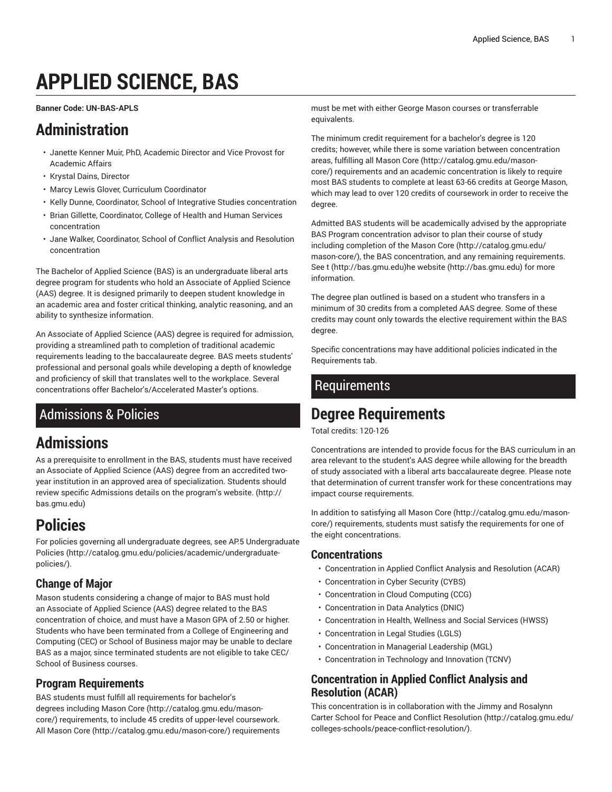# **APPLIED SCIENCE, BAS**

<span id="page-0-2"></span>**Banner Code: UN-BAS-APLS**

# **Administration**

- Janette Kenner Muir, PhD, Academic Director and Vice Provost for Academic Affairs
- Krystal Dains, Director
- Marcy Lewis Glover, Curriculum Coordinator
- Kelly Dunne, Coordinator, School of Integrative Studies concentration
- Brian Gillette, Coordinator, College of Health and Human Services concentration
- Jane Walker, Coordinator, School of Conflict Analysis and Resolution concentration

The Bachelor of Applied Science (BAS) is an undergraduate liberal arts degree program for students who hold an Associate of Applied Science (AAS) degree. It is designed primarily to deepen student knowledge in an academic area and foster critical thinking, analytic reasoning, and an ability to synthesize information.

An Associate of Applied Science (AAS) degree is required for admission, providing a streamlined path to completion of traditional academic requirements leading to the baccalaureate degree. BAS meets students' professional and personal goals while developing a depth of knowledge and proficiency of skill that translates well to the workplace. Several concentrations offer Bachelor's/Accelerated Master's options.

# Admissions & Policies

# **Admissions**

As a prerequisite to enrollment in the BAS, students must have received an Associate of Applied Science (AAS) degree from an accredited twoyear institution in an approved area of specialization. Students should review specific Admissions details on the program's [website.](http://bas.gmu.edu) ([http://](http://bas.gmu.edu) [bas.gmu.edu\)](http://bas.gmu.edu)

# **Policies**

For policies governing all undergraduate degrees, see AP.5 [Undergraduate](http://catalog.gmu.edu/policies/academic/undergraduate-policies/) [Policies](http://catalog.gmu.edu/policies/academic/undergraduate-policies/) ([http://catalog.gmu.edu/policies/academic/undergraduate](http://catalog.gmu.edu/policies/academic/undergraduate-policies/)[policies/](http://catalog.gmu.edu/policies/academic/undergraduate-policies/)).

# **Change of Major**

Mason students considering a change of major to BAS must hold an Associate of Applied Science (AAS) degree related to the BAS concentration of choice, and must have a Mason GPA of 2.50 or higher. Students who have been terminated from a College of Engineering and Computing (CEC) or School of Business major may be unable to declare BAS as a major, since terminated students are not eligible to take CEC/ School of Business courses.

# **Program Requirements**

BAS students must fulfill all requirements for bachelor's degrees including [Mason](http://catalog.gmu.edu/mason-core/) Core [\(http://catalog.gmu.edu/mason](http://catalog.gmu.edu/mason-core/)[core/\)](http://catalog.gmu.edu/mason-core/) requirements, to include 45 credits of upper-level coursework. All [Mason](http://catalog.gmu.edu/mason-core/) Core ([http://catalog.gmu.edu/mason-core/\)](http://catalog.gmu.edu/mason-core/) requirements must be met with either George Mason courses or transferrable equivalents.

The minimum credit requirement for a bachelor's degree is 120 credits; however, while there is some variation between concentration areas, fulfilling all [Mason](http://catalog.gmu.edu/mason-core/) Core ([http://catalog.gmu.edu/mason](http://catalog.gmu.edu/mason-core/)[core/](http://catalog.gmu.edu/mason-core/)) requirements and an academic concentration is likely to require most BAS students to complete at least 63-66 credits at George Mason, which may lead to over 120 credits of coursework in order to receive the degree.

Admitted BAS students will be academically advised by the appropriate BAS Program concentration advisor to plan their course of study including completion of the [Mason](http://catalog.gmu.edu/mason-core/) Core [\(http://catalog.gmu.edu/](http://catalog.gmu.edu/mason-core/) [mason-core/](http://catalog.gmu.edu/mason-core/)), the BAS concentration, and any remaining requirements. See [t \(http://bas.gmu.edu](http://bas.gmu.edu))[he website \(http://bas.gmu.edu](http://bas.gmu.edu)) for more information.

The degree plan outlined is based on a student who transfers in a minimum of 30 credits from a completed AAS degree. Some of these credits may count only towards the elective requirement within the BAS degree.

Specific concentrations may have additional policies indicated in the [Requirements](#page-0-0) tab.

# <span id="page-0-0"></span>**Requirements**

# **Degree Requirements**

Total credits: 120-126

Concentrations are intended to provide focus for the BAS curriculum in an area relevant to the student's AAS degree while allowing for the breadth of study associated with a liberal arts baccalaureate degree. Please note that determination of current transfer work for these concentrations may impact course requirements.

In addition to satisfying all [Mason](http://catalog.gmu.edu/mason-core/) Core [\(http://catalog.gmu.edu/mason](http://catalog.gmu.edu/mason-core/)[core/](http://catalog.gmu.edu/mason-core/)) requirements, students must satisfy the requirements for one of the eight concentrations.

### **Concentrations**

- [Concentration in Applied Conflict Analysis and Resolution \(ACAR\)](#page-0-1)
- [Concentration in Cyber Security \(CYBS\)](#page-1-0)
- [Concentration in Cloud Computing \(CCG\)](#page-2-0)
- [Concentration](#page-3-0) in Data Analytics (DNIC)
- [Concentration](#page-3-1) in Health, Wellness and Social Services (HWSS)
- [Concentration](#page-4-0) in Legal Studies (LGLS)
- [Concentration in Managerial Leadership \(MGL\)](#page-5-0)
- [Concentration](#page-5-1) in Technology and Innovation (TCNV)

# <span id="page-0-1"></span>**Concentration in Applied Conflict Analysis and Resolution (ACAR)**

This concentration is in collaboration with the [Jimmy and Rosalynn](http://catalog.gmu.edu/colleges-schools/peace-conflict-resolution/) Carter School for Peace and Conflict [Resolution](http://catalog.gmu.edu/colleges-schools/peace-conflict-resolution/) [\(http://catalog.gmu.edu/](http://catalog.gmu.edu/colleges-schools/peace-conflict-resolution/) [colleges-schools/peace-conflict-resolution/\)](http://catalog.gmu.edu/colleges-schools/peace-conflict-resolution/).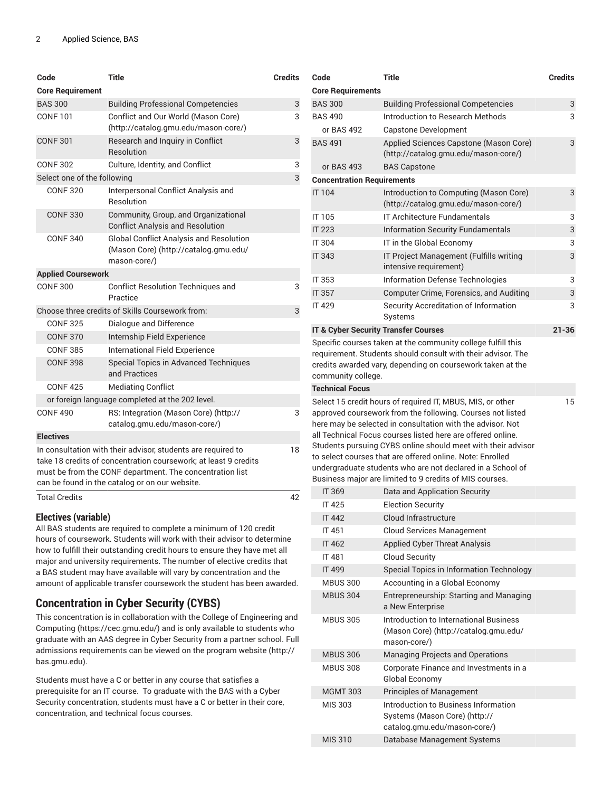| Code                                                                                                                                                                                                                                          | <b>Title</b>                                                                                            | <b>Credits</b> |
|-----------------------------------------------------------------------------------------------------------------------------------------------------------------------------------------------------------------------------------------------|---------------------------------------------------------------------------------------------------------|----------------|
| <b>Core Requirement</b>                                                                                                                                                                                                                       |                                                                                                         |                |
| <b>BAS 300</b>                                                                                                                                                                                                                                | <b>Building Professional Competencies</b>                                                               | 3              |
| <b>CONF 101</b>                                                                                                                                                                                                                               | Conflict and Our World (Mason Core)<br>(http://catalog.gmu.edu/mason-core/)                             | 3              |
| <b>CONF 301</b>                                                                                                                                                                                                                               | Research and Inquiry in Conflict<br>Resolution                                                          | 3              |
| <b>CONF 302</b>                                                                                                                                                                                                                               | Culture, Identity, and Conflict                                                                         | 3              |
| Select one of the following                                                                                                                                                                                                                   |                                                                                                         | 3              |
| <b>CONF320</b>                                                                                                                                                                                                                                | Interpersonal Conflict Analysis and<br>Resolution                                                       |                |
| <b>CONF 330</b>                                                                                                                                                                                                                               | Community, Group, and Organizational<br><b>Conflict Analysis and Resolution</b>                         |                |
| <b>CONF 340</b>                                                                                                                                                                                                                               | <b>Global Conflict Analysis and Resolution</b><br>(Mason Core) (http://catalog.gmu.edu/<br>mason-core/) |                |
| <b>Applied Coursework</b>                                                                                                                                                                                                                     |                                                                                                         |                |
| <b>CONF 300</b>                                                                                                                                                                                                                               | Conflict Resolution Techniques and<br>Practice                                                          | 3              |
|                                                                                                                                                                                                                                               | Choose three credits of Skills Coursework from:                                                         | 3              |
| <b>CONF 325</b>                                                                                                                                                                                                                               | Dialogue and Difference                                                                                 |                |
| <b>CONF 370</b>                                                                                                                                                                                                                               | Internship Field Experience                                                                             |                |
| <b>CONF 385</b>                                                                                                                                                                                                                               | International Field Experience                                                                          |                |
| <b>CONF 398</b>                                                                                                                                                                                                                               | <b>Special Topics in Advanced Techniques</b><br>and Practices                                           |                |
| <b>CONF425</b>                                                                                                                                                                                                                                | <b>Mediating Conflict</b>                                                                               |                |
|                                                                                                                                                                                                                                               | or foreign language completed at the 202 level.                                                         |                |
| <b>CONF 490</b>                                                                                                                                                                                                                               | RS: Integration (Mason Core) (http://<br>catalog.gmu.edu/mason-core/)                                   | 3              |
| <b>Electives</b>                                                                                                                                                                                                                              |                                                                                                         |                |
| In consultation with their advisor, students are required to<br>take 18 credits of concentration coursework; at least 9 credits<br>must be from the CONF department. The concentration list<br>can be found in the catalog or on our website. |                                                                                                         |                |
| <b>Total Credits</b>                                                                                                                                                                                                                          |                                                                                                         | 42             |

All BAS students are required to complete a minimum of 120 credit hours of coursework. Students will work with their advisor to determine how to fulfill their outstanding credit hours to ensure they have met all major and university requirements. The number of elective credits that a BAS student may have available will vary by concentration and the amount of applicable transfer coursework the student has been awarded.

### <span id="page-1-0"></span>**Concentration in Cyber Security (CYBS)**

This concentration is in collaboration with the [College of Engineering and](https://cec.gmu.edu/) [Computing \(https://cec.gmu.edu/](https://cec.gmu.edu/)) and is only available to students who graduate with an AAS degree in Cyber Security from a partner school. Full admissions requirements can be viewed on the [program](http://bas.gmu.edu) website ([http://](http://bas.gmu.edu) [bas.gmu.edu\)](http://bas.gmu.edu).

Students must have a C or better in any course that satisfies a prerequisite for an IT course. To graduate with the BAS with a Cyber Security concentration, students must have a C or better in their core, concentration, and technical focus courses.

| Code                                            | <b>Title</b>                                                                                                                                                                                                                                                                                                                                                                                                                                  | <b>Credits</b> |
|-------------------------------------------------|-----------------------------------------------------------------------------------------------------------------------------------------------------------------------------------------------------------------------------------------------------------------------------------------------------------------------------------------------------------------------------------------------------------------------------------------------|----------------|
| <b>Core Requirements</b>                        |                                                                                                                                                                                                                                                                                                                                                                                                                                               |                |
| <b>BAS 300</b>                                  | <b>Building Professional Competencies</b>                                                                                                                                                                                                                                                                                                                                                                                                     | 3              |
| <b>BAS 490</b>                                  | Introduction to Research Methods                                                                                                                                                                                                                                                                                                                                                                                                              | 3              |
| or BAS 492                                      | Capstone Development                                                                                                                                                                                                                                                                                                                                                                                                                          |                |
| <b>BAS 491</b>                                  | Applied Sciences Capstone (Mason Core)<br>(http://catalog.gmu.edu/mason-core/)                                                                                                                                                                                                                                                                                                                                                                | 3              |
| or BAS 493                                      | <b>BAS Capstone</b>                                                                                                                                                                                                                                                                                                                                                                                                                           |                |
| <b>Concentration Requirements</b>               |                                                                                                                                                                                                                                                                                                                                                                                                                                               |                |
| <b>IT 104</b>                                   | Introduction to Computing (Mason Core)<br>(http://catalog.gmu.edu/mason-core/)                                                                                                                                                                                                                                                                                                                                                                | 3              |
| IT 105                                          | <b>IT Architecture Fundamentals</b>                                                                                                                                                                                                                                                                                                                                                                                                           | 3              |
| <b>IT 223</b>                                   | <b>Information Security Fundamentals</b>                                                                                                                                                                                                                                                                                                                                                                                                      | 3              |
| IT 304                                          | IT in the Global Economy                                                                                                                                                                                                                                                                                                                                                                                                                      | 3              |
| <b>IT 343</b>                                   | IT Project Management (Fulfills writing<br>intensive requirement)                                                                                                                                                                                                                                                                                                                                                                             | 3              |
| IT 353                                          | Information Defense Technologies                                                                                                                                                                                                                                                                                                                                                                                                              | 3              |
| IT 357                                          | <b>Computer Crime, Forensics, and Auditing</b>                                                                                                                                                                                                                                                                                                                                                                                                | 3              |
| <b>IT 429</b>                                   | Security Accreditation of Information<br>Systems                                                                                                                                                                                                                                                                                                                                                                                              | 3              |
| <b>IT &amp; Cyber Security Transfer Courses</b> |                                                                                                                                                                                                                                                                                                                                                                                                                                               | $21 - 36$      |
| community college.<br><b>Technical Focus</b>    | Specific courses taken at the community college fulfill this<br>requirement. Students should consult with their advisor. The<br>credits awarded vary, depending on coursework taken at the                                                                                                                                                                                                                                                    |                |
|                                                 | Select 15 credit hours of required IT, MBUS, MIS, or other                                                                                                                                                                                                                                                                                                                                                                                    | 15             |
|                                                 | approved coursework from the following. Courses not listed<br>here may be selected in consultation with the advisor. Not<br>all Technical Focus courses listed here are offered online.<br>Students pursuing CYBS online should meet with their advisor<br>to select courses that are offered online. Note: Enrolled<br>undergraduate students who are not declared in a School of<br>Business major are limited to 9 credits of MIS courses. |                |
| <b>IT 369</b>                                   | Data and Application Security                                                                                                                                                                                                                                                                                                                                                                                                                 |                |
| IT 425                                          | <b>Election Security</b>                                                                                                                                                                                                                                                                                                                                                                                                                      |                |
| <b>IT 442</b>                                   | Cloud Infrastructure                                                                                                                                                                                                                                                                                                                                                                                                                          |                |
| IT 451                                          | Cloud Services Management                                                                                                                                                                                                                                                                                                                                                                                                                     |                |
| <b>IT 462</b>                                   | <b>Applied Cyber Threat Analysis</b>                                                                                                                                                                                                                                                                                                                                                                                                          |                |
| <b>IT 481</b>                                   | <b>Cloud Security</b>                                                                                                                                                                                                                                                                                                                                                                                                                         |                |
| <b>IT 499</b>                                   | Special Topics in Information Technology                                                                                                                                                                                                                                                                                                                                                                                                      |                |
| <b>MBUS 300</b><br><b>MBUS 304</b>              | Accounting in a Global Economy<br>Entrepreneurship: Starting and Managing<br>a New Enterprise                                                                                                                                                                                                                                                                                                                                                 |                |
| <b>MBUS 305</b>                                 | Introduction to International Business<br>(Mason Core) (http://catalog.gmu.edu/<br>mason-core/)                                                                                                                                                                                                                                                                                                                                               |                |
| <b>MBUS 306</b>                                 | <b>Managing Projects and Operations</b>                                                                                                                                                                                                                                                                                                                                                                                                       |                |
| <b>MBUS 308</b>                                 | Corporate Finance and Investments in a<br>Global Economy                                                                                                                                                                                                                                                                                                                                                                                      |                |
| <b>MGMT 303</b>                                 | Principles of Management                                                                                                                                                                                                                                                                                                                                                                                                                      |                |
| MIS 303                                         | Introduction to Business Information<br>Systems (Mason Core) (http://<br>catalog.gmu.edu/mason-core/)                                                                                                                                                                                                                                                                                                                                         |                |
| <b>MIS 310</b>                                  | Database Management Systems                                                                                                                                                                                                                                                                                                                                                                                                                   |                |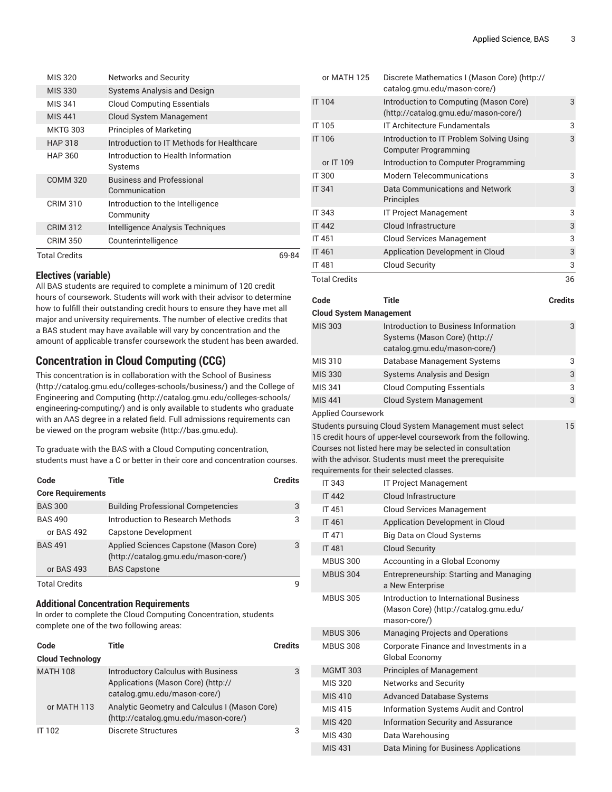| MIS 320         | <b>Networks and Security</b>                      |       |
|-----------------|---------------------------------------------------|-------|
| <b>MIS 330</b>  | <b>Systems Analysis and Design</b>                |       |
| MIS 341         | <b>Cloud Computing Essentials</b>                 |       |
| <b>MIS 441</b>  | Cloud System Management                           |       |
| <b>MKTG 303</b> | <b>Principles of Marketing</b>                    |       |
| <b>HAP 318</b>  | Introduction to IT Methods for Healthcare         |       |
| HAP 360         | Introduction to Health Information<br>Systems     |       |
| <b>COMM 320</b> | <b>Business and Professional</b><br>Communication |       |
| <b>CRIM 310</b> | Introduction to the Intelligence<br>Community     |       |
| <b>CRIM 312</b> | Intelligence Analysis Techniques                  |       |
| <b>CRIM 350</b> | Counterintelligence                               |       |
| Total Credits   |                                                   | 69-84 |

All BAS students are required to complete a minimum of 120 credit hours of coursework. Students will work with their advisor to determine how to fulfill their outstanding credit hours to ensure they have met all major and university requirements. The number of elective credits that a BAS student may have available will vary by concentration and the amount of applicable transfer coursework the student has been awarded.

### <span id="page-2-0"></span>**Concentration in Cloud Computing (CCG)**

This concentration is in collaboration with the [School of Business](http://catalog.gmu.edu/colleges-schools/business/) (<http://catalog.gmu.edu/colleges-schools/business/>) and the College of [Engineering and Computing \(http://catalog.gmu.edu/colleges-schools/](http://catalog.gmu.edu/colleges-schools/engineering-computing/) [engineering-computing/](http://catalog.gmu.edu/colleges-schools/engineering-computing/)) and is only available to students who graduate with an AAS degree in a related field. Full admissions requirements can be viewed on the [program](http://bas.gmu.edu) website [\(http://bas.gmu.edu](http://bas.gmu.edu)).

To graduate with the BAS with a Cloud Computing concentration, students must have a C or better in their core and concentration courses.

| Code                     | Title                                                                          | <b>Credits</b> |
|--------------------------|--------------------------------------------------------------------------------|----------------|
| <b>Core Requirements</b> |                                                                                |                |
| <b>BAS 300</b>           | <b>Building Professional Competencies</b>                                      | 3              |
| <b>BAS 490</b>           | Introduction to Research Methods                                               | 3              |
| or BAS 492               | Capstone Development                                                           |                |
| <b>BAS 491</b>           | Applied Sciences Capstone (Mason Core)<br>(http://catalog.gmu.edu/mason-core/) | 3              |
| or BAS 493               | <b>BAS Capstone</b>                                                            |                |
| <b>Total Credits</b>     |                                                                                | q              |

#### **Additional Concentration Requirements**

In order to complete the Cloud Computing Concentration, students complete one of the two following areas:

| Code                    | Title                                                                                                            | Credits |
|-------------------------|------------------------------------------------------------------------------------------------------------------|---------|
| <b>Cloud Technology</b> |                                                                                                                  |         |
| <b>MATH 108</b>         | <b>Introductory Calculus with Business</b><br>Applications (Mason Core) (http://<br>catalog.gmu.edu/mason-core/) | 3       |
| or MATH 113             | Analytic Geometry and Calculus I (Mason Core)<br>(http://catalog.gmu.edu/mason-core/)                            |         |
| <b>IT 102</b>           | Discrete Structures                                                                                              | 3       |

| <b>Total Credits</b> |                                                                                | 36         |
|----------------------|--------------------------------------------------------------------------------|------------|
| <b>IT 481</b>        | <b>Cloud Security</b>                                                          | 3          |
| <b>IT 461</b>        | Application Development in Cloud                                               | 3          |
| <b>IT 451</b>        | <b>Cloud Services Management</b>                                               | 3          |
| <b>IT 442</b>        | Cloud Infrastructure                                                           | $\sqrt{3}$ |
| IT 343               | <b>IT Project Management</b>                                                   | 3          |
| <b>IT 341</b>        | Data Communications and Network<br>Principles                                  | 3          |
| <b>IT 300</b>        | <b>Modern Telecommunications</b>                                               | 3          |
| or IT 109            | Introduction to Computer Programming                                           |            |
| IT 106               | Introduction to IT Problem Solving Using<br><b>Computer Programming</b>        | 3          |
| IT 105               | <b>IT Architecture Fundamentals</b>                                            | 3          |
| <b>IT 104</b>        | Introduction to Computing (Mason Core)<br>(http://catalog.gmu.edu/mason-core/) | 3          |
| or MATH 125          | Discrete Mathematics I (Mason Core) (http://<br>catalog.gmu.edu/mason-core/)   |            |

**Code Title Credits**

15

| <b>Cloud System Management</b> |                                                                                                       |   |
|--------------------------------|-------------------------------------------------------------------------------------------------------|---|
| <b>MIS 303</b>                 | Introduction to Business Information<br>Systems (Mason Core) (http://<br>catalog.gmu.edu/mason-core/) | 3 |
| MIS 310                        | Database Management Systems                                                                           | 3 |
| <b>MIS 330</b>                 | <b>Systems Analysis and Design</b>                                                                    | 3 |
| MIS 341                        | <b>Cloud Computing Essentials</b>                                                                     | 3 |
| MIS 441                        | <b>Cloud System Management</b>                                                                        | 3 |
| <b>Applied Coursework</b>      |                                                                                                       |   |
|                                |                                                                                                       |   |

Students pursuing Cloud System Management must select 15 credit hours of upper-level coursework from the following. Courses not listed here may be selected in consultation with the advisor. Students must meet the prerequisite requirements for their selected classes.

| IT 343          | <b>IT Project Management</b>                                                                    |
|-----------------|-------------------------------------------------------------------------------------------------|
| <b>IT 442</b>   | <b>Cloud Infrastructure</b>                                                                     |
| <b>IT 451</b>   | <b>Cloud Services Management</b>                                                                |
| <b>IT 461</b>   | Application Development in Cloud                                                                |
| <b>IT 471</b>   | Big Data on Cloud Systems                                                                       |
| <b>IT 481</b>   | <b>Cloud Security</b>                                                                           |
| <b>MBUS 300</b> | Accounting in a Global Economy                                                                  |
| <b>MBUS 304</b> | Entrepreneurship: Starting and Managing<br>a New Enterprise                                     |
| <b>MBUS 305</b> | Introduction to International Business<br>(Mason Core) (http://catalog.gmu.edu/<br>mason-core/) |
| <b>MBUS 306</b> | <b>Managing Projects and Operations</b>                                                         |
| <b>MBUS 308</b> | Corporate Finance and Investments in a<br>Global Economy                                        |
| <b>MGMT 303</b> | <b>Principles of Management</b>                                                                 |
| <b>MIS 320</b>  | <b>Networks and Security</b>                                                                    |
| <b>MIS 410</b>  | <b>Advanced Database Systems</b>                                                                |
| MIS 415         | Information Systems Audit and Control                                                           |
| <b>MIS 420</b>  | <b>Information Security and Assurance</b>                                                       |
| MIS 430         | Data Warehousing                                                                                |
| <b>MIS 431</b>  | Data Mining for Business Applications                                                           |
|                 |                                                                                                 |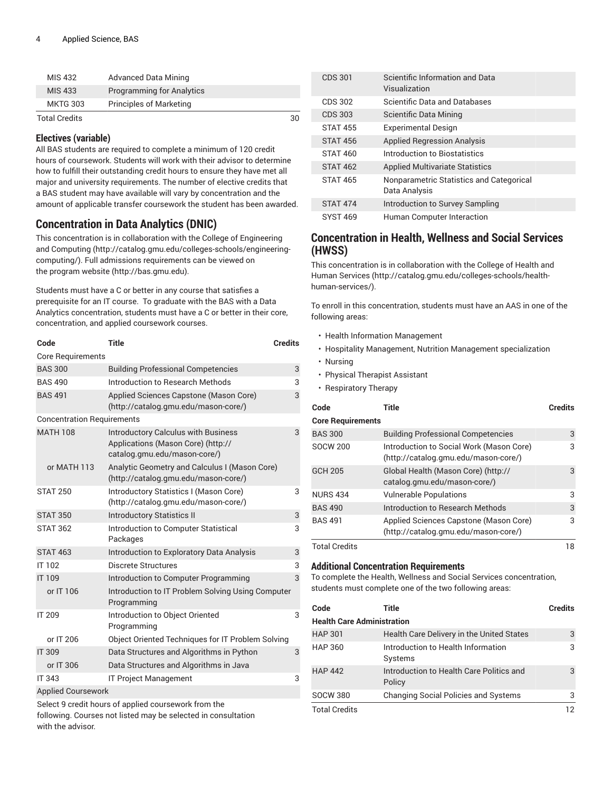| MIS 432              | <b>Advanced Data Mining</b>      |    |  |
|----------------------|----------------------------------|----|--|
| MIS 433              | <b>Programming for Analytics</b> |    |  |
| <b>MKTG 303</b>      | <b>Principles of Marketing</b>   |    |  |
| <b>Total Credits</b> |                                  | 30 |  |

All BAS students are required to complete a minimum of 120 credit hours of coursework. Students will work with their advisor to determine how to fulfill their outstanding credit hours to ensure they have met all major and university requirements. The number of elective credits that a BAS student may have available will vary by concentration and the amount of applicable transfer coursework the student has been awarded.

### <span id="page-3-0"></span>**Concentration in Data Analytics (DNIC)**

This concentration is in collaboration with the [College of Engineering](http://catalog.gmu.edu/colleges-schools/engineering-computing/) [and Computing](http://catalog.gmu.edu/colleges-schools/engineering-computing/) ([http://catalog.gmu.edu/colleges-schools/engineering](http://catalog.gmu.edu/colleges-schools/engineering-computing/)[computing/](http://catalog.gmu.edu/colleges-schools/engineering-computing/)). Full admissions requirements can be viewed on the [program](http://bas.gmu.edu) website ([http://bas.gmu.edu\)](http://bas.gmu.edu).

Students must have a C or better in any course that satisfies a prerequisite for an IT course. To graduate with the BAS with a Data Analytics concentration, students must have a C or better in their core, concentration, and applied coursework courses.

| Code                              | <b>Title</b><br><b>Credits</b>                                                                                   |   |
|-----------------------------------|------------------------------------------------------------------------------------------------------------------|---|
| <b>Core Requirements</b>          |                                                                                                                  |   |
| <b>BAS 300</b>                    | <b>Building Professional Competencies</b>                                                                        | 3 |
| <b>BAS 490</b>                    | Introduction to Research Methods                                                                                 | 3 |
| <b>BAS 491</b>                    | Applied Sciences Capstone (Mason Core)<br>(http://catalog.gmu.edu/mason-core/)                                   | 3 |
| <b>Concentration Requirements</b> |                                                                                                                  |   |
| <b>MATH 108</b>                   | <b>Introductory Calculus with Business</b><br>Applications (Mason Core) (http://<br>catalog.gmu.edu/mason-core/) | 3 |
| or MATH 113                       | Analytic Geometry and Calculus I (Mason Core)<br>(http://catalog.gmu.edu/mason-core/)                            |   |
| <b>STAT 250</b>                   | Introductory Statistics I (Mason Core)<br>(http://catalog.gmu.edu/mason-core/)                                   | 3 |
| <b>STAT 350</b>                   | <b>Introductory Statistics II</b>                                                                                | 3 |
| <b>STAT 362</b>                   | Introduction to Computer Statistical<br>Packages                                                                 | 3 |
| <b>STAT 463</b>                   | Introduction to Exploratory Data Analysis                                                                        | 3 |
| IT 102                            | Discrete Structures                                                                                              | 3 |
| <b>IT 109</b>                     | Introduction to Computer Programming                                                                             | 3 |
| or IT 106                         | Introduction to IT Problem Solving Using Computer<br>Programming                                                 |   |
| <b>IT 209</b>                     | Introduction to Object Oriented<br>Programming                                                                   | 3 |
| or IT 206                         | Object Oriented Techniques for IT Problem Solving                                                                |   |
| <b>IT 309</b>                     | Data Structures and Algorithms in Python                                                                         | 3 |
| or IT 306                         | Data Structures and Algorithms in Java                                                                           |   |
| <b>IT 343</b>                     | <b>IT Project Management</b>                                                                                     | 3 |
| Applied Courcework                |                                                                                                                  |   |

Applied Coursework

Select 9 credit hours of applied coursework from the

following. Courses not listed may be selected in consultation with the advisor.

| CDS 301         | Scientific Information and Data<br>Visualization          |
|-----------------|-----------------------------------------------------------|
| CDS 302         | Scientific Data and Databases                             |
| CDS 303         | Scientific Data Mining                                    |
| <b>STAT 455</b> | <b>Experimental Design</b>                                |
| <b>STAT 456</b> | <b>Applied Regression Analysis</b>                        |
| <b>STAT 460</b> | Introduction to Biostatistics                             |
| <b>STAT 462</b> | <b>Applied Multivariate Statistics</b>                    |
| <b>STAT 465</b> | Nonparametric Statistics and Categorical<br>Data Analysis |
| <b>STAT 474</b> | Introduction to Survey Sampling                           |
| <b>SYST 469</b> | Human Computer Interaction                                |

### <span id="page-3-1"></span>**Concentration in Health, Wellness and Social Services (HWSS)**

This concentration is in collaboration with the [College of Health and](http://catalog.gmu.edu/colleges-schools/health-human-services/) Human [Services](http://catalog.gmu.edu/colleges-schools/health-human-services/) ([http://catalog.gmu.edu/colleges-schools/health](http://catalog.gmu.edu/colleges-schools/health-human-services/)[human-services/\)](http://catalog.gmu.edu/colleges-schools/health-human-services/).

To enroll in this concentration, students must have an AAS in one of the following areas:

- Health Information Management
- Hospitality Management, Nutrition Management specialization
- Nursing
- Physical Therapist Assistant
- Respiratory Therapy

| Code                     | Title                                                                            | <b>Credits</b> |
|--------------------------|----------------------------------------------------------------------------------|----------------|
| <b>Core Requirements</b> |                                                                                  |                |
| <b>BAS 300</b>           | <b>Building Professional Competencies</b>                                        | 3              |
| <b>SOCW 200</b>          | Introduction to Social Work (Mason Core)<br>(http://catalog.gmu.edu/mason-core/) | 3              |
| <b>GCH 205</b>           | Global Health (Mason Core) (http://<br>catalog.gmu.edu/mason-core/)              | 3              |
| <b>NURS 434</b>          | <b>Vulnerable Populations</b>                                                    | 3              |
| <b>BAS 490</b>           | Introduction to Research Methods                                                 | 3              |
| <b>BAS 491</b>           | Applied Sciences Capstone (Mason Core)<br>(http://catalog.gmu.edu/mason-core/)   | 3              |
| <b>Total Credits</b>     |                                                                                  | 18             |

#### **Additional Concentration Requirements**

To complete the Health, Wellness and Social Services concentration, students must complete one of the two following areas:

| Code                              | Title                                              | <b>Credits</b> |
|-----------------------------------|----------------------------------------------------|----------------|
| <b>Health Care Administration</b> |                                                    |                |
| <b>HAP 301</b>                    | Health Care Delivery in the United States          | 3              |
| HAP 360                           | Introduction to Health Information<br>Systems      | 3              |
| <b>HAP 442</b>                    | Introduction to Health Care Politics and<br>Policy | 3              |
| SOCW 380                          | <b>Changing Social Policies and Systems</b>        | З              |
| <b>Total Credits</b>              |                                                    | 12             |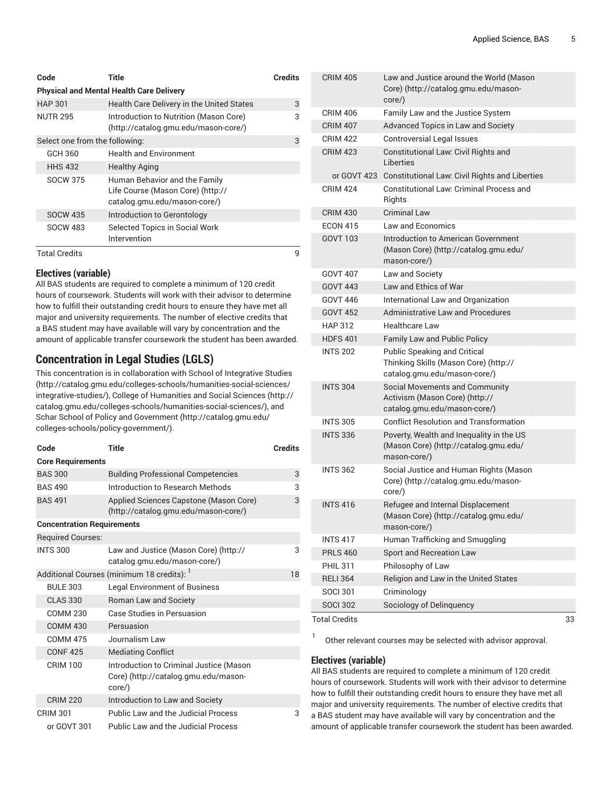| Code                           | Title                                                                                              | <b>Credits</b> |
|--------------------------------|----------------------------------------------------------------------------------------------------|----------------|
|                                | <b>Physical and Mental Health Care Delivery</b>                                                    |                |
| <b>HAP 301</b>                 | Health Care Delivery in the United States                                                          | 3              |
| <b>NUTR 295</b>                | Introduction to Nutrition (Mason Core)<br>(http://catalog.gmu.edu/mason-core/)                     | 3              |
| Select one from the following: |                                                                                                    | 3              |
| GCH 360                        | <b>Health and Environment</b>                                                                      |                |
| <b>HHS 432</b>                 | <b>Healthy Aging</b>                                                                               |                |
| <b>SOCW 375</b>                | Human Behavior and the Family<br>Life Course (Mason Core) (http://<br>catalog.gmu.edu/mason-core/) |                |
| <b>SOCW 435</b>                | Introduction to Gerontology                                                                        |                |
| <b>SOCW 483</b>                | Selected Topics in Social Work<br>Intervention                                                     |                |
| <b>Total Credits</b>           |                                                                                                    | q              |

All BAS students are required to complete a minimum of 120 credit hours of coursework. Students will work with their advisor to determine how to fulfill their outstanding credit hours to ensure they have met all major and university requirements. The number of elective credits that a BAS student may have available will vary by concentration and the amount of applicable transfer coursework the student has been awarded.

### <span id="page-4-0"></span>**Concentration in Legal Studies (LGLS)**

This concentration is in collaboration with School of [Integrative](http://catalog.gmu.edu/colleges-schools/humanities-social-sciences/integrative-studies/) Studies ([http://catalog.gmu.edu/colleges-schools/humanities-social-sciences/](http://catalog.gmu.edu/colleges-schools/humanities-social-sciences/integrative-studies/) [integrative-studies/](http://catalog.gmu.edu/colleges-schools/humanities-social-sciences/integrative-studies/)), [College of Humanities and Social Sciences \(http://](http://catalog.gmu.edu/colleges-schools/humanities-social-sciences/) [catalog.gmu.edu/colleges-schools/humanities-social-sciences/\)](http://catalog.gmu.edu/colleges-schools/humanities-social-sciences/), and Schar School of Policy and [Government](http://catalog.gmu.edu/colleges-schools/policy-government/) ([http://catalog.gmu.edu/](http://catalog.gmu.edu/colleges-schools/policy-government/) [colleges-schools/policy-government/\)](http://catalog.gmu.edu/colleges-schools/policy-government/).

| Code                              | Title                                                                                     | <b>Credits</b> |
|-----------------------------------|-------------------------------------------------------------------------------------------|----------------|
| <b>Core Requirements</b>          |                                                                                           |                |
| <b>BAS 300</b>                    | <b>Building Professional Competencies</b>                                                 | 3              |
| <b>BAS 490</b>                    | Introduction to Research Methods                                                          | 3              |
| <b>BAS 491</b>                    | Applied Sciences Capstone (Mason Core)<br>(http://catalog.gmu.edu/mason-core/)            | 3              |
| <b>Concentration Requirements</b> |                                                                                           |                |
| <b>Required Courses:</b>          |                                                                                           |                |
| <b>INTS 300</b>                   | Law and Justice (Mason Core) (http://<br>catalog.gmu.edu/mason-core/)                     | 3              |
|                                   | Additional Courses (minimum 18 credits):                                                  | 18             |
| <b>BULE 303</b>                   | <b>Legal Environment of Business</b>                                                      |                |
| <b>CLAS 330</b>                   | Roman Law and Society                                                                     |                |
| <b>COMM 230</b>                   | Case Studies in Persuasion                                                                |                |
| <b>COMM 430</b>                   | Persuasion                                                                                |                |
| <b>COMM 475</b>                   | Journalism Law                                                                            |                |
| <b>CONF425</b>                    | <b>Mediating Conflict</b>                                                                 |                |
| <b>CRIM 100</b>                   | Introduction to Criminal Justice (Mason<br>Core) (http://catalog.gmu.edu/mason-<br>core/) |                |
| <b>CRIM 220</b>                   | Introduction to Law and Society                                                           |                |
| <b>CRIM 301</b>                   | Public Law and the Judicial Process                                                       | 3              |
| or GOVT 301                       | <b>Public Law and the Judicial Process</b>                                                |                |

| <b>CRIM 405</b>      | Law and Justice around the World (Mason<br>Core) (http://catalog.gmu.edu/mason-<br>core/)                    |    |
|----------------------|--------------------------------------------------------------------------------------------------------------|----|
| <b>CRIM 406</b>      | Family Law and the Justice System                                                                            |    |
| <b>CRIM 407</b>      | Advanced Topics in Law and Society                                                                           |    |
| <b>CRIM 422</b>      | <b>Controversial Legal Issues</b>                                                                            |    |
| <b>CRIM 423</b>      | Constitutional Law: Civil Rights and<br>Liberties                                                            |    |
|                      | or GOVT 423 Constitutional Law: Civil Rights and Liberties                                                   |    |
| <b>CRIM 424</b>      | Constitutional Law: Criminal Process and<br>Rights                                                           |    |
| <b>CRIM 430</b>      | <b>Criminal Law</b>                                                                                          |    |
| <b>ECON 415</b>      | Law and Economics                                                                                            |    |
| GOVT 103             | <b>Introduction to American Government</b><br>(Mason Core) (http://catalog.gmu.edu/<br>mason-core/)          |    |
| GOVT 407             | Law and Society                                                                                              |    |
| <b>GOVT 443</b>      | Law and Ethics of War                                                                                        |    |
| GOVT 446             | International Law and Organization                                                                           |    |
| <b>GOVT 452</b>      | Administrative Law and Procedures                                                                            |    |
| <b>HAP 312</b>       | <b>Healthcare Law</b>                                                                                        |    |
| <b>HDFS 401</b>      | Family Law and Public Policy                                                                                 |    |
| <b>INTS 202</b>      | <b>Public Speaking and Critical</b><br>Thinking Skills (Mason Core) (http://<br>catalog.gmu.edu/mason-core/) |    |
| <b>INTS 304</b>      | Social Movements and Community<br>Activism (Mason Core) (http://<br>catalog.gmu.edu/mason-core/)             |    |
| <b>INTS 305</b>      | <b>Conflict Resolution and Transformation</b>                                                                |    |
| <b>INTS 336</b>      | Poverty, Wealth and Inequality in the US<br>(Mason Core) (http://catalog.gmu.edu/<br>mason-core/)            |    |
| <b>INTS 362</b>      | Social Justice and Human Rights (Mason<br>Core) (http://catalog.gmu.edu/mason-<br>core/)                     |    |
| <b>INTS 416</b>      | Refugee and Internal Displacement<br>(Mason Core) (http://catalog.gmu.edu/<br>mason-core/)                   |    |
| <b>INTS 417</b>      | Human Trafficking and Smuggling                                                                              |    |
| <b>PRLS 460</b>      | Sport and Recreation Law                                                                                     |    |
| <b>PHIL 311</b>      | Philosophy of Law                                                                                            |    |
| <b>RELI 364</b>      | Religion and Law in the United States                                                                        |    |
| <b>SOCI 301</b>      | Criminology                                                                                                  |    |
| <b>SOCI 302</b>      | Sociology of Delinquency                                                                                     |    |
| <b>Total Credits</b> |                                                                                                              | 33 |

1 Other relevant courses may be selected with advisor approval.

#### **Electives (variable)**

All BAS students are required to complete a minimum of 120 credit hours of coursework. Students will work with their advisor to determine how to fulfill their outstanding credit hours to ensure they have met all major and university requirements. The number of elective credits that a BAS student may have available will vary by concentration and the amount of applicable transfer coursework the student has been awarded.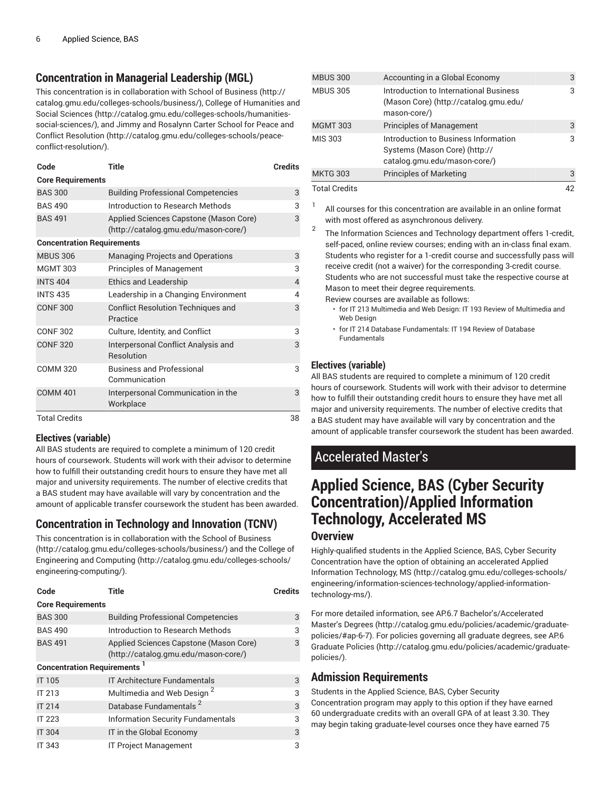# <span id="page-5-0"></span>**Concentration in Managerial Leadership (MGL)**

This concentration is in collaboration with [School of Business \(http://](http://catalog.gmu.edu/colleges-schools/business/) [catalog.gmu.edu/colleges-schools/business/](http://catalog.gmu.edu/colleges-schools/business/)), [College of Humanities and](http://catalog.gmu.edu/colleges-schools/humanities-social-sciences/) [Social Sciences \(http://catalog.gmu.edu/colleges-schools/humanities](http://catalog.gmu.edu/colleges-schools/humanities-social-sciences/)[social-sciences/\)](http://catalog.gmu.edu/colleges-schools/humanities-social-sciences/), and Jimmy and [Rosalynn](http://catalog.gmu.edu/colleges-schools/peace-conflict-resolution/) Carter School for Peace and [Conflict Resolution \(http://catalog.gmu.edu/colleges-schools/peace](http://catalog.gmu.edu/colleges-schools/peace-conflict-resolution/)[conflict-resolution/\)](http://catalog.gmu.edu/colleges-schools/peace-conflict-resolution/).

| Code                              | Title                                                                          | <b>Credits</b> |
|-----------------------------------|--------------------------------------------------------------------------------|----------------|
| <b>Core Requirements</b>          |                                                                                |                |
| <b>BAS 300</b>                    | <b>Building Professional Competencies</b>                                      | 3              |
| <b>BAS 490</b>                    | Introduction to Research Methods                                               | 3              |
| <b>BAS 491</b>                    | Applied Sciences Capstone (Mason Core)<br>(http://catalog.gmu.edu/mason-core/) | 3              |
| <b>Concentration Requirements</b> |                                                                                |                |
| <b>MBUS 306</b>                   | Managing Projects and Operations                                               | 3              |
| <b>MGMT 303</b>                   | <b>Principles of Management</b>                                                | 3              |
| <b>INTS 404</b>                   | <b>Ethics and Leadership</b>                                                   | 4              |
| <b>INTS 435</b>                   | Leadership in a Changing Environment                                           | 4              |
| <b>CONF 300</b>                   | <b>Conflict Resolution Techniques and</b><br>Practice                          | 3              |
| <b>CONF 302</b>                   | Culture, Identity, and Conflict                                                | 3              |
| <b>CONF 320</b>                   | Interpersonal Conflict Analysis and<br>Resolution                              | 3              |
| <b>COMM 320</b>                   | <b>Business and Professional</b><br>Communication                              | 3              |
| <b>COMM 401</b>                   | Interpersonal Communication in the<br>Workplace                                | 3              |
| <b>Total Credits</b>              |                                                                                | 38             |

#### **Electives (variable)**

All BAS students are required to complete a minimum of 120 credit hours of coursework. Students will work with their advisor to determine how to fulfill their outstanding credit hours to ensure they have met all major and university requirements. The number of elective credits that a BAS student may have available will vary by concentration and the amount of applicable transfer coursework the student has been awarded.

# <span id="page-5-1"></span>**Concentration in Technology and Innovation (TCNV)**

This concentration is in collaboration with the [School of Business](http://catalog.gmu.edu/colleges-schools/business/) (<http://catalog.gmu.edu/colleges-schools/business/>) and the [College of](http://catalog.gmu.edu/colleges-schools/engineering-computing/) [Engineering and Computing \(http://catalog.gmu.edu/colleges-schools/](http://catalog.gmu.edu/colleges-schools/engineering-computing/) [engineering-computing/](http://catalog.gmu.edu/colleges-schools/engineering-computing/)).

| Code                                           | Title                                                                          | <b>Credits</b> |
|------------------------------------------------|--------------------------------------------------------------------------------|----------------|
| <b>Core Requirements</b>                       |                                                                                |                |
| <b>BAS 300</b>                                 | <b>Building Professional Competencies</b>                                      | 3              |
| <b>BAS 490</b>                                 | Introduction to Research Methods                                               | 3              |
| <b>BAS 491</b>                                 | Applied Sciences Capstone (Mason Core)<br>(http://catalog.gmu.edu/mason-core/) | 3              |
| <b>Concentration Requirements</b> <sup>1</sup> |                                                                                |                |
| <b>IT 105</b>                                  | <b>IT Architecture Fundamentals</b>                                            | 3              |
| IT 213                                         | Multimedia and Web Design <sup>2</sup>                                         | 3              |
| <b>IT 214</b>                                  | Database Fundamentals <sup>2</sup>                                             | 3              |
| <b>IT 223</b>                                  | <b>Information Security Fundamentals</b>                                       | 3              |
| <b>IT 304</b>                                  | IT in the Global Economy                                                       | 3              |
| <b>IT 343</b>                                  | <b>IT Project Management</b>                                                   | 3              |

| <b>MBUS 300</b>      | Accounting in a Global Economy                                                                        | 3  |
|----------------------|-------------------------------------------------------------------------------------------------------|----|
| <b>MBUS 305</b>      | Introduction to International Business<br>(Mason Core) (http://catalog.gmu.edu/<br>mason-core/)       | 3  |
| <b>MGMT 303</b>      | <b>Principles of Management</b>                                                                       | 3  |
| MIS 303              | Introduction to Business Information<br>Systems (Mason Core) (http://<br>catalog.gmu.edu/mason-core/) | 3  |
| <b>MKTG 303</b>      | <b>Principles of Marketing</b>                                                                        | 3  |
| <b>Total Credits</b> |                                                                                                       | 42 |

- 1 All courses for this concentration are available in an online format with most offered as asynchronous delivery. 2
	- The Information Sciences and Technology department offers 1-credit, self-paced, online review courses; ending with an in-class final exam. Students who register for a 1-credit course and successfully pass will receive credit (not a waiver) for the corresponding 3-credit course. Students who are not successful must take the respective course at Mason to meet their degree requirements.
		- Review courses are available as follows:
		- for IT 213 Multimedia and Web Design: IT 193 Review of Multimedia and Web Design
		- for IT 214 Database Fundamentals: IT 194 Review of Database Fundamentals

### **Electives (variable)**

All BAS students are required to complete a minimum of 120 credit hours of coursework. Students will work with their advisor to determine how to fulfill their outstanding credit hours to ensure they have met all major and university requirements. The number of elective credits that a BAS student may have available will vary by concentration and the amount of applicable transfer coursework the student has been awarded.

# Accelerated Master's

# **Applied Science, BAS (Cyber Security Concentration)/Applied Information Technology, Accelerated MS Overview**

Highly-qualified students in the [Applied Science, BAS, Cyber Security](#page-1-0) [Concentration](#page-1-0) have the option of obtaining an accelerated [Applied](http://catalog.gmu.edu/colleges-schools/engineering/information-sciences-technology/applied-information-technology-ms/) Information [Technology,](http://catalog.gmu.edu/colleges-schools/engineering/information-sciences-technology/applied-information-technology-ms/) MS ([http://catalog.gmu.edu/colleges-schools/](http://catalog.gmu.edu/colleges-schools/engineering/information-sciences-technology/applied-information-technology-ms/) [engineering/information-sciences-technology/applied-information](http://catalog.gmu.edu/colleges-schools/engineering/information-sciences-technology/applied-information-technology-ms/)[technology-ms/](http://catalog.gmu.edu/colleges-schools/engineering/information-sciences-technology/applied-information-technology-ms/)).

For more detailed information, see AP.6.7 [Bachelor's/Accelerated](http://catalog.gmu.edu/policies/academic/graduate-policies/#ap-6-7) [Master's](http://catalog.gmu.edu/policies/academic/graduate-policies/#ap-6-7) Degrees [\(http://catalog.gmu.edu/policies/academic/graduate](http://catalog.gmu.edu/policies/academic/graduate-policies/#ap-6-7)[policies/#ap-6-7\)](http://catalog.gmu.edu/policies/academic/graduate-policies/#ap-6-7). For policies governing all graduate degrees, see [AP.6](http://catalog.gmu.edu/policies/academic/graduate-policies/) [Graduate](http://catalog.gmu.edu/policies/academic/graduate-policies/) Policies [\(http://catalog.gmu.edu/policies/academic/graduate](http://catalog.gmu.edu/policies/academic/graduate-policies/)[policies/](http://catalog.gmu.edu/policies/academic/graduate-policies/)).

### **Admission Requirements**

Students in the Applied Science, BAS, Cyber Security Concentration program may apply to this option if they have earned 60 undergraduate credits with an overall GPA of at least 3.30. They may begin taking graduate-level courses once they have earned 75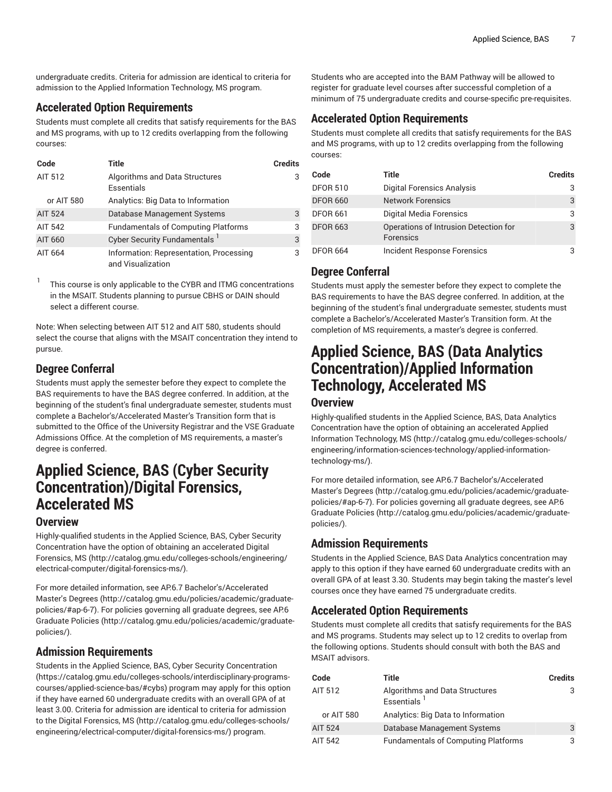undergraduate credits. Criteria for admission are identical to criteria for admission to the Applied Information Technology, MS program.

### **Accelerated Option Requirements**

Students must complete all credits that satisfy requirements for the BAS and MS programs, with up to 12 credits overlapping from the following courses:

| Code           | Title                                                        | <b>Credits</b> |
|----------------|--------------------------------------------------------------|----------------|
| AIT 512        | Algorithms and Data Structures<br>Essentials                 | 3              |
| or AIT 580     | Analytics: Big Data to Information                           |                |
| <b>AIT 524</b> | Database Management Systems                                  | 3              |
| AIT 542        | <b>Fundamentals of Computing Platforms</b>                   | 3              |
| AIT 660        | Cyber Security Fundamentals <sup>1</sup>                     | 3              |
| AIT 664        | Information: Representation, Processing<br>and Visualization | 3              |

1 This course is only applicable to the CYBR and ITMG concentrations in the MSAIT. Students planning to pursue CBHS or DAIN should select a different course.

Note: When selecting between AIT 512 and AIT 580, students should select the course that aligns with the MSAIT concentration they intend to pursue.

# **Degree Conferral**

Students must apply the semester before they expect to complete the BAS requirements to have the BAS degree conferred. In addition, at the beginning of the student's final undergraduate semester, students must complete a Bachelor's/Accelerated Master's Transition form that is submitted to the Office of the University Registrar and the VSE Graduate Admissions Office. At the completion of MS requirements, a master's degree is conferred.

# **Applied Science, BAS (Cyber Security Concentration)/Digital Forensics, Accelerated MS**

# **Overview**

Highly-qualified students in the [Applied Science, BAS, Cyber Security](#page-1-0) [Concentration](#page-1-0) have the option of obtaining an accelerated [Digital](http://catalog.gmu.edu/colleges-schools/engineering/electrical-computer/digital-forensics-ms/) [Forensics,](http://catalog.gmu.edu/colleges-schools/engineering/electrical-computer/digital-forensics-ms/) MS [\(http://catalog.gmu.edu/colleges-schools/engineering/](http://catalog.gmu.edu/colleges-schools/engineering/electrical-computer/digital-forensics-ms/) [electrical-computer/digital-forensics-ms/](http://catalog.gmu.edu/colleges-schools/engineering/electrical-computer/digital-forensics-ms/)).

For more detailed information, see AP.6.7 [Bachelor's/Accelerated](http://catalog.gmu.edu/policies/academic/graduate-policies/#ap-6-7) [Master's](http://catalog.gmu.edu/policies/academic/graduate-policies/#ap-6-7) Degrees ([http://catalog.gmu.edu/policies/academic/graduate](http://catalog.gmu.edu/policies/academic/graduate-policies/#ap-6-7)[policies/#ap-6-7](http://catalog.gmu.edu/policies/academic/graduate-policies/#ap-6-7)). For policies governing all graduate degrees, see [AP.6](http://catalog.gmu.edu/policies/academic/graduate-policies/) [Graduate](http://catalog.gmu.edu/policies/academic/graduate-policies/) Policies ([http://catalog.gmu.edu/policies/academic/graduate](http://catalog.gmu.edu/policies/academic/graduate-policies/)[policies/](http://catalog.gmu.edu/policies/academic/graduate-policies/)).

# **Admission Requirements**

Students in the [Applied Science, BAS, Cyber Security Concentration](https://catalog.gmu.edu/colleges-schools/interdisciplinary-programs-courses/applied-science-bas/#cybs) ([https://catalog.gmu.edu/colleges-schools/interdisciplinary-programs](https://catalog.gmu.edu/colleges-schools/interdisciplinary-programs-courses/applied-science-bas/#cybs)[courses/applied-science-bas/#cybs\)](https://catalog.gmu.edu/colleges-schools/interdisciplinary-programs-courses/applied-science-bas/#cybs) program may apply for this option if they have earned 60 undergraduate credits with an overall GPA of at least 3.00. Criteria for admission are identical to criteria for admission to the Digital [Forensics,](http://catalog.gmu.edu/colleges-schools/engineering/electrical-computer/digital-forensics-ms/) MS [\(http://catalog.gmu.edu/colleges-schools/](http://catalog.gmu.edu/colleges-schools/engineering/electrical-computer/digital-forensics-ms/) [engineering/electrical-computer/digital-forensics-ms/\)](http://catalog.gmu.edu/colleges-schools/engineering/electrical-computer/digital-forensics-ms/) program.

Students who are accepted into the BAM Pathway will be allowed to register for graduate level courses after successful completion of a minimum of 75 undergraduate credits and course-specific pre-requisites.

### **Accelerated Option Requirements**

Students must complete all credits that satisfy requirements for the BAS and MS programs, with up to 12 credits overlapping from the following courses:

| Code            | Title                                                     | <b>Credits</b> |
|-----------------|-----------------------------------------------------------|----------------|
| <b>DFOR 510</b> | <b>Digital Forensics Analysis</b>                         | 3              |
| <b>DFOR 660</b> | <b>Network Forensics</b>                                  | 3              |
| <b>DFOR 661</b> | Digital Media Forensics                                   | 3              |
| <b>DFOR 663</b> | Operations of Intrusion Detection for<br><b>Forensics</b> | 3              |
| <b>DFOR 664</b> | Incident Response Forensics                               | З              |

# **Degree Conferral**

Students must apply the semester before they expect to complete the BAS requirements to have the BAS degree conferred. In addition, at the beginning of the student's final undergraduate semester, students must complete a Bachelor's/Accelerated Master's Transition form. At the completion of MS requirements, a master's degree is conferred.

# **Applied Science, BAS (Data Analytics Concentration)/Applied Information Technology, Accelerated MS**

#### **Overview**

Highly-qualified students in the [Applied Science, BAS, Data Analytics](#page-0-2) [Concentration](#page-0-2) have the option of obtaining an accelerated [Applied](http://catalog.gmu.edu/colleges-schools/engineering/information-sciences-technology/applied-information-technology-ms/) Information [Technology,](http://catalog.gmu.edu/colleges-schools/engineering/information-sciences-technology/applied-information-technology-ms/) MS ([http://catalog.gmu.edu/colleges-schools/](http://catalog.gmu.edu/colleges-schools/engineering/information-sciences-technology/applied-information-technology-ms/) [engineering/information-sciences-technology/applied-information](http://catalog.gmu.edu/colleges-schools/engineering/information-sciences-technology/applied-information-technology-ms/)[technology-ms/](http://catalog.gmu.edu/colleges-schools/engineering/information-sciences-technology/applied-information-technology-ms/)).

For more detailed information, see AP.6.7 [Bachelor's/Accelerated](http://catalog.gmu.edu/policies/academic/graduate-policies/#ap-6-7) [Master's](http://catalog.gmu.edu/policies/academic/graduate-policies/#ap-6-7) Degrees [\(http://catalog.gmu.edu/policies/academic/graduate](http://catalog.gmu.edu/policies/academic/graduate-policies/#ap-6-7)[policies/#ap-6-7\)](http://catalog.gmu.edu/policies/academic/graduate-policies/#ap-6-7). For policies governing all graduate degrees, see [AP.6](http://catalog.gmu.edu/policies/academic/graduate-policies/) [Graduate](http://catalog.gmu.edu/policies/academic/graduate-policies/) Policies [\(http://catalog.gmu.edu/policies/academic/graduate](http://catalog.gmu.edu/policies/academic/graduate-policies/)[policies/](http://catalog.gmu.edu/policies/academic/graduate-policies/)).

# **Admission Requirements**

Students in the Applied Science, BAS Data Analytics concentration may apply to this option if they have earned 60 undergraduate credits with an overall GPA of at least 3.30. Students may begin taking the master's level courses once they have earned 75 undergraduate credits.

# **Accelerated Option Requirements**

Students must complete all credits that satisfy requirements for the BAS and MS programs. Students may select up to 12 credits to overlap from the following options. Students should consult with both the BAS and MSAIT advisors.

| Code           | Title                                            | <b>Credits</b> |
|----------------|--------------------------------------------------|----------------|
| AIT 512        | Algorithms and Data Structures<br>Essentials $1$ | 3              |
| or AIT 580     | Analytics: Big Data to Information               |                |
| <b>AIT 524</b> | Database Management Systems                      | 3              |
| AIT 542        | <b>Fundamentals of Computing Platforms</b>       | 3              |